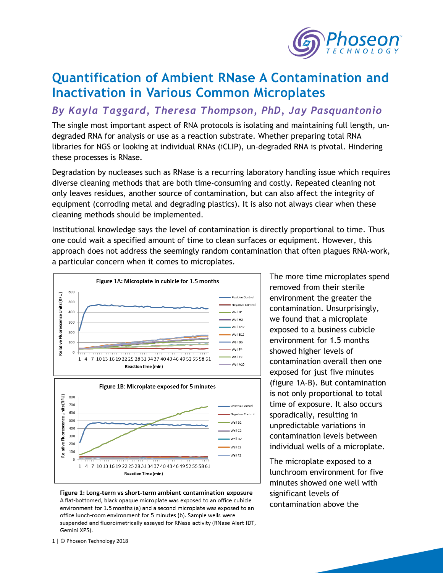

## **Quantification of Ambient RNase A Contamination and Inactivation in Various Common Microplates**

## *By Kayla Taggard, Theresa Thompson, PhD, Jay Pasquantonio*

The single most important aspect of RNA protocols is isolating and maintaining full length, undegraded RNA for analysis or use as a reaction substrate. Whether preparing total RNA libraries for NGS or looking at individual RNAs (iCLIP), un-degraded RNA is pivotal. Hindering these processes is RNase.

Degradation by nucleases such as RNase is a recurring laboratory handling issue which requires diverse cleaning methods that are both time-consuming and costly. Repeated cleaning not only leaves residues, another source of contamination, but can also affect the integrity of equipment (corroding metal and degrading plastics). It is also not always clear when these cleaning methods should be implemented.

Institutional knowledge says the level of contamination is directly proportional to time. Thus one could wait a specified amount of time to clean surfaces or equipment. However, this approach does not address the seemingly random contamination that often plagues RNA-work, a particular concern when it comes to microplates.





The more time microplates spend removed from their sterile environment the greater the contamination. Unsurprisingly, we found that a microplate exposed to a business cubicle environment for 1.5 months showed higher levels of contamination overall then one exposed for just five minutes (figure 1A-B). But contamination is not only proportional to total time of exposure. It also occurs sporadically, resulting in unpredictable variations in contamination levels between individual wells of a microplate.

The microplate exposed to a lunchroom environment for five minutes showed one well with significant levels of contamination above the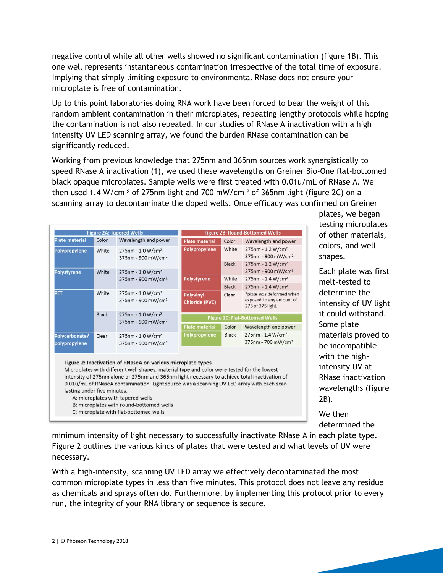negative control while all other wells showed no significant contamination (figure 1B). This one well represents instantaneous contamination irrespective of the total time of exposure. Implying that simply limiting exposure to environmental RNase does not ensure your microplate is free of contamination.

Up to this point laboratories doing RNA work have been forced to bear the weight of this random ambient contamination in their microplates, repeating lengthy protocols while hoping the contamination is not also repeated. In our studies of RNase A inactivation with a high intensity UV LED scanning array, we found the burden RNase contamination can be significantly reduced.

Working from previous knowledge that 275nm and 365nm sources work synergistically to speed RNase A inactivation (1), we used these wavelengths on Greiner Bio-One flat-bottomed black opaque microplates. Sample wells were first treated with 0.01u/mL of RNase A. We then used 1.4 W/cm  $^2$  of 275nm light and 700 mW/cm  $^2$  of 365nm light (figure 2C) on a scanning array to decontaminate the doped wells. Once efficacy was confirmed on Greiner

| <b>Figure 2A: Tapered Wells</b> |              |                                                                                                                                                                                                                                                            | <b>Figure 2B: Round-Bottomed Wells</b> |              |                                                                           |
|---------------------------------|--------------|------------------------------------------------------------------------------------------------------------------------------------------------------------------------------------------------------------------------------------------------------------|----------------------------------------|--------------|---------------------------------------------------------------------------|
| <b>Plate material</b>           | Color        | Wavelength and power                                                                                                                                                                                                                                       | <b>Plate material</b>                  | Color        | Wavelength and power                                                      |
| Polypropylene                   | White        | 275nm - 1.0 W/cm <sup>2</sup><br>375nm - 900 mW/cm <sup>2</sup>                                                                                                                                                                                            | Polypropylene                          | White        | 275nm - 1.2 W/cm <sup>2</sup><br>375nm - 900 mW/cm <sup>2</sup>           |
|                                 |              |                                                                                                                                                                                                                                                            |                                        | <b>Black</b> | 275nm - 1.2 W/cm <sup>2</sup>                                             |
| <b>Polystyrene</b>              | White        | 275nm - 1.0 W/cm <sup>2</sup><br>375nm - 900 mW/cm <sup>2</sup>                                                                                                                                                                                            |                                        |              | 375nm - 900 mW/cm <sup>2</sup>                                            |
|                                 |              |                                                                                                                                                                                                                                                            | <b>Polystyrene</b>                     | White        | 275nm - 1.4 W/cm <sup>2</sup>                                             |
|                                 |              |                                                                                                                                                                                                                                                            |                                        | <b>Black</b> | 275nm - 1.4 W/cm <sup>2</sup>                                             |
| PET                             | White        | 275nm - 1.0 W/cm <sup>2</sup><br>375nm - 900 mW/cm <sup>2</sup>                                                                                                                                                                                            | Polyvinyl<br><b>Chloride (PVC)</b>     | Clear        | *plate was deformed when<br>exposed to any amount of<br>275 of 375 light. |
|                                 | <b>Black</b> | 275nm - 1.0 W/cm <sup>2</sup><br>375nm - 900 mW/cm <sup>2</sup>                                                                                                                                                                                            | <b>Figure 2C: Flat-Bottomed Wells</b>  |              |                                                                           |
|                                 |              |                                                                                                                                                                                                                                                            | <b>Plate material</b>                  | Color        | Wavelength and power                                                      |
| Polycarbonate/<br>polypropylene | Clear        | 275nm - 1.0 W/cm <sup>2</sup><br>375nm - 900 mW/cm <sup>2</sup>                                                                                                                                                                                            | Polypropylene                          | <b>Black</b> | 275nm - 1.4 W/cm <sup>2</sup><br>375nm - 700 mW/cm <sup>2</sup>           |
|                                 |              | Figure 2: Inactivation of RNaseA on various microplate types<br>Microplates with different well shapes, material type and color were tested for the lowest<br>intensity of 275nm alone or 275nm and 365nm light necessary to achieve total inactivation of |                                        |              |                                                                           |

0.01u/mL of RNaseA contamination. Light source was a scanning UV LED array with each scan

plates, we began testing microplates of other materials, colors, and well shapes.

Each plate was first melt-tested to determine the intensity of UV light it could withstand. Some plate materials proved to be incompatible with the highintensity UV at RNase inactivation wavelengths (figure 2B).

We then determined the

minimum intensity of light necessary to successfully inactivate RNase A in each plate type. Figure 2 outlines the various kinds of plates that were tested and what levels of UV were necessary.

With a high-intensity, scanning UV LED array we effectively decontaminated the most common microplate types in less than five minutes. This protocol does not leave any residue as chemicals and sprays often do. Furthermore, by implementing this protocol prior to every run, the integrity of your RNA library or sequence is secure.

lasting under five minutes.

A: microplates with tapered wells B: microplates with round-bottomed wells C: microplate with flat-bottomed wells